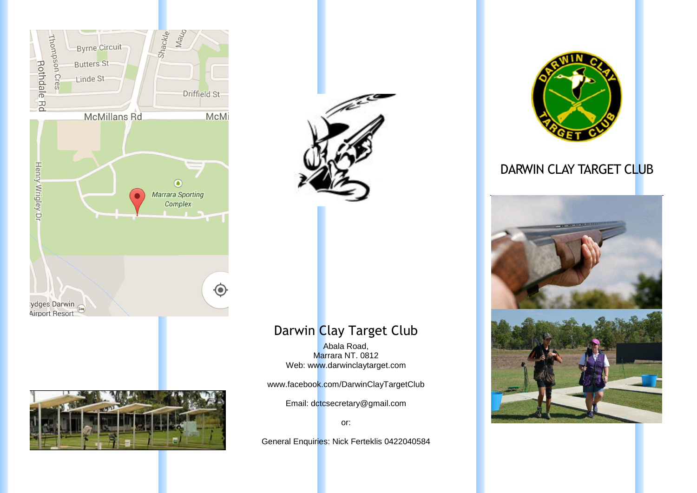



## Darwin Clay Target Club

Abala Road, Marrara NT. 0812 Web: www.darwinclaytarget.com

www.facebook.com/DarwinClayTargetClub

Email: dctcsecretary@gmail.com

or:

General Enquiries: Nick Ferteklis 0422040584



### DARWIN CLAY TARGET CLUB